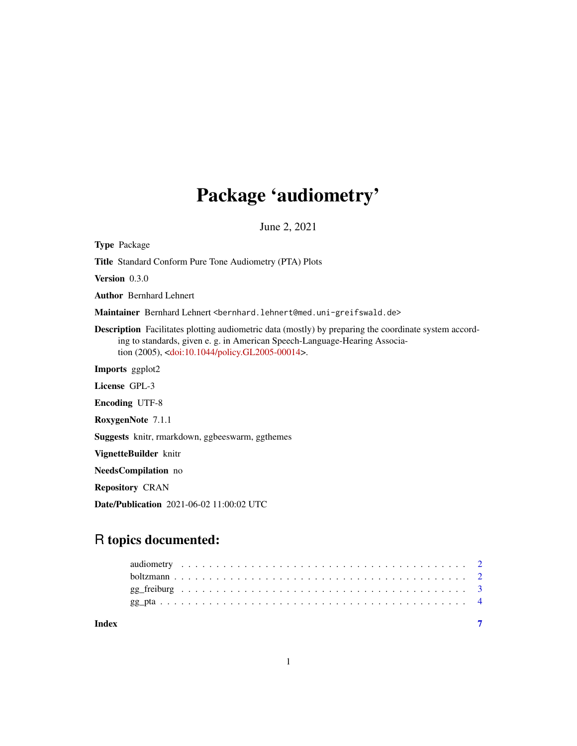## Package 'audiometry'

June 2, 2021

Type Package

Title Standard Conform Pure Tone Audiometry (PTA) Plots

Version 0.3.0

Author Bernhard Lehnert

Maintainer Bernhard Lehnert <bernhard.lehnert@med.uni-greifswald.de>

Description Facilitates plotting audiometric data (mostly) by preparing the coordinate system according to standards, given e. g. in American Speech-Language-Hearing Association (2005), [<doi:10.1044/policy.GL2005-00014>](https://doi.org/10.1044/policy.GL2005-00014).

Imports ggplot2

License GPL-3

Encoding UTF-8

RoxygenNote 7.1.1

Suggests knitr, rmarkdown, ggbeeswarm, ggthemes

VignetteBuilder knitr

NeedsCompilation no

Repository CRAN

Date/Publication 2021-06-02 11:00:02 UTC

### R topics documented:

**Index** [7](#page-6-0) **7**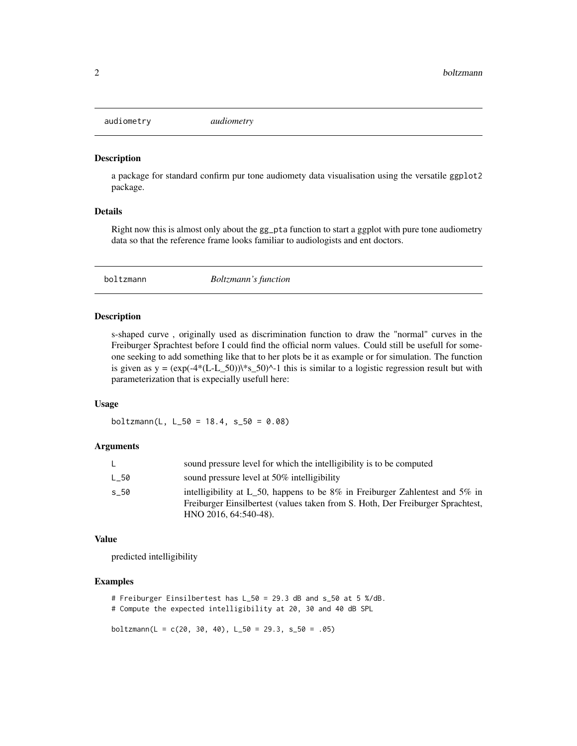<span id="page-1-0"></span>

#### Description

a package for standard confirm pur tone audiomety data visualisation using the versatile ggplot2 package.

#### Details

Right now this is almost only about the gg\_pta function to start a ggplot with pure tone audiometry data so that the reference frame looks familiar to audiologists and ent doctors.

boltzmann *Boltzmann's function*

#### Description

s-shaped curve , originally used as discrimination function to draw the "normal" curves in the Freiburger Sprachtest before I could find the official norm values. Could still be usefull for someone seeking to add something like that to her plots be it as example or for simulation. The function is given as  $y = (exp(-4*(L-L_50))\cdot (s_5-50)^{-1})$  this is similar to a logistic regression result but with parameterization that is expecially usefull here:

#### Usage

boltzmann(L,  $L_50 = 18.4$ ,  $s_50 = 0.08$ )

#### Arguments

|      | sound pressure level for which the intelligibility is to be computed                                                                                                                     |
|------|------------------------------------------------------------------------------------------------------------------------------------------------------------------------------------------|
| L_50 | sound pressure level at 50% intelligibility                                                                                                                                              |
| s 50 | intelligibility at L 50, happens to be 8% in Freiburger Zahlentest and 5% in<br>Freiburger Einsilbertest (values taken from S. Hoth, Der Freiburger Sprachtest,<br>HNO 2016, 64:540-48). |

#### Value

predicted intelligibility

#### Examples

# Freiburger Einsilbertest has L\_50 = 29.3 dB and s\_50 at 5 %/dB. # Compute the expected intelligibility at 20, 30 and 40 dB SPL

 $boltzmann(L = c(20, 30, 40), L_50 = 29.3, s_50 = .05)$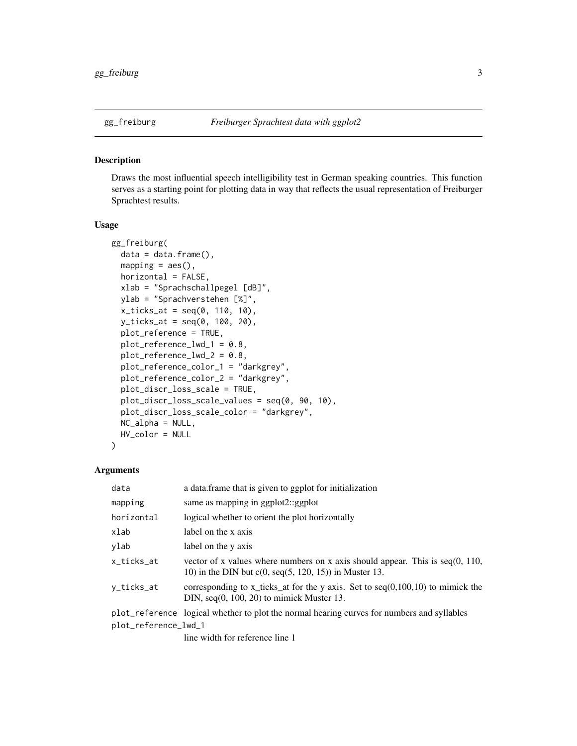<span id="page-2-0"></span>

#### Description

Draws the most influential speech intelligibility test in German speaking countries. This function serves as a starting point for plotting data in way that reflects the usual representation of Freiburger Sprachtest results.

#### Usage

```
gg_freiburg(
  data = data.frame(),mapping = aes(),
 horizontal = FALSE,
  xlab = "Sprachschallpegel [dB]",
 ylab = "Sprachverstehen [%]",
  x\_ticks\_at = seq(0, 110, 10),y_ticks_at = seq(0, 100, 20),
 plot_reference = TRUE,
 plot_reference_lwd_1 = 0.8,
  plot_reference_lwd_2 = 0.8,
 plot_reference_color_1 = "darkgrey",
 plot_reference_color_2 = "darkgrey",
 plot_discr_loss_scale = TRUE,
 plot_discr_loss_scale_values = seq(0, 90, 10),
 plot_discr_loss_scale_color = "darkgrey",
 NC_alpha = NULL,
 HV_color = NULL
)
```
#### Arguments

| data                 | a data frame that is given to ggplot for initialization                                                                                     |
|----------------------|---------------------------------------------------------------------------------------------------------------------------------------------|
| mapping              | same as mapping in ggplot2::ggplot                                                                                                          |
| horizontal           | logical whether to orient the plot horizontally                                                                                             |
| xlab                 | label on the x axis                                                                                                                         |
| ylab                 | label on the y axis                                                                                                                         |
| x ticks at           | vector of x values where numbers on x axis should appear. This is $seq(0, 110,$<br>10) in the DIN but $c(0, seq(5, 120, 15))$ in Muster 13. |
| v_ticks_at           | corresponding to x_ticks_at for the y axis. Set to $seq(0,100,10)$ to mimick the<br>DIN, $seq(0, 100, 20)$ to mimick Muster 13.             |
| plot_reference_lwd_1 | plot_reference logical whether to plot the normal hearing curves for numbers and syllables                                                  |

line width for reference line 1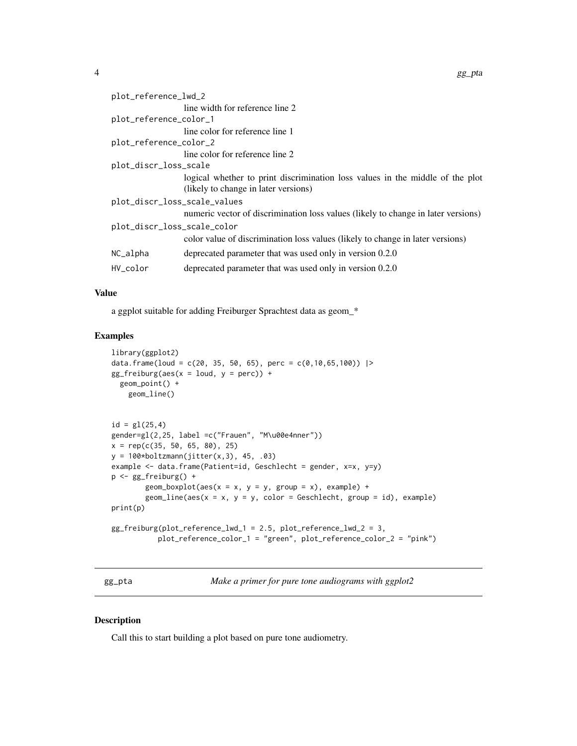<span id="page-3-0"></span>

| plot_reference_lwd_2         |                                                                                   |  |  |  |  |  |  |
|------------------------------|-----------------------------------------------------------------------------------|--|--|--|--|--|--|
|                              | line width for reference line 2                                                   |  |  |  |  |  |  |
| plot_reference_color_1       |                                                                                   |  |  |  |  |  |  |
|                              | line color for reference line 1                                                   |  |  |  |  |  |  |
| plot_reference_color_2       |                                                                                   |  |  |  |  |  |  |
|                              | line color for reference line 2                                                   |  |  |  |  |  |  |
| plot_discr_loss_scale        |                                                                                   |  |  |  |  |  |  |
|                              | logical whether to print discrimination loss values in the middle of the plot     |  |  |  |  |  |  |
|                              | (likely to change in later versions)                                              |  |  |  |  |  |  |
| plot_discr_loss_scale_values |                                                                                   |  |  |  |  |  |  |
|                              | numeric vector of discrimination loss values (likely to change in later versions) |  |  |  |  |  |  |
| plot_discr_loss_scale_color  |                                                                                   |  |  |  |  |  |  |
|                              | color value of discrimination loss values (likely to change in later versions)    |  |  |  |  |  |  |
| NC_alpha                     | deprecated parameter that was used only in version 0.2.0                          |  |  |  |  |  |  |
| HV_color                     | deprecated parameter that was used only in version 0.2.0                          |  |  |  |  |  |  |
|                              |                                                                                   |  |  |  |  |  |  |

#### Value

a ggplot suitable for adding Freiburger Sprachtest data as geom\_\*

#### Examples

```
library(ggplot2)
data.frame(loud = c(20, 35, 50, 65), perc = c(0, 10, 65, 100)) |>
gg_freiburg(aes(x = loud, y = perc)) +
  geom_point() +
    geom_line()
id = gl(25, 4)gender=gl(2,25, label =c("Frauen", "M\u00e4nner"))
x = rep(c(35, 50, 65, 80), 25)
y = 100 * \text{boltzmann}(jitter(x,3), 45, .03)example <- data.frame(Patient=id, Geschlecht = gender, x=x, y=y)
p <- gg_freiburg() +
        geom\_boxplot(aes(x = x, y = y, group = x), example) +geom\_line(aes(x = x, y = y, color = Geschichte, group = id), example)print(p)
gg_freiburg(plot_reference_lwd_1 = 2.5, plot_reference_lwd_2 = 3,
           plot_reference_color_1 = "green", plot_reference_color_2 = "pink")
```
gg\_pta *Make a primer for pure tone audiograms with ggplot2*

#### Description

Call this to start building a plot based on pure tone audiometry.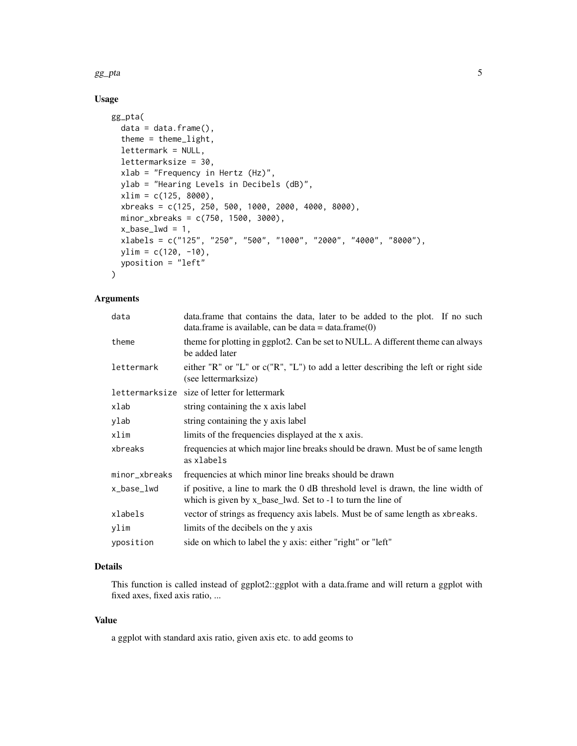$gg$ \_pta 5

#### Usage

```
gg_pta(
 data = data.frame(),theme = theme_light,
 lettermark = NULL,
 lettermarksize = 30,
 xlab = "Frequency in Hertz (Hz)",
 ylab = "Hearing Levels in Decibels (dB)",
 xlim = c(125, 8000),
 xbreaks = c(125, 250, 500, 1000, 2000, 4000, 8000),
 minor_xbreaks = c(750, 1500, 3000),
 x_base_lwd = 1,
 xlabels = c("125", "250", "500", "1000", "2000", "4000", "8000"),ylim = c(120, -10),
 yposition = "left"
)
```
#### Arguments

| data          | data. frame that contains the data, later to be added to the plot. If no such<br>data.frame is available, can be data = data.frame $(0)$        |
|---------------|-------------------------------------------------------------------------------------------------------------------------------------------------|
| theme         | theme for plotting in ggplot2. Can be set to NULL. A different theme can always<br>be added later                                               |
| lettermark    | either "R" or "L" or $c("R", "L")$ to add a letter describing the left or right side<br>(see lettermarksize)                                    |
|               | lettermarksize size of letter for lettermark                                                                                                    |
| xlab          | string containing the x axis label                                                                                                              |
| ylab          | string containing the y axis label                                                                                                              |
| xlim          | limits of the frequencies displayed at the x axis.                                                                                              |
| xbreaks       | frequencies at which major line breaks should be drawn. Must be of same length<br>as xlabels                                                    |
| minor_xbreaks | frequencies at which minor line breaks should be drawn                                                                                          |
| x_base_lwd    | if positive, a line to mark the 0 dB threshold level is drawn, the line width of<br>which is given by x_base_lwd. Set to -1 to turn the line of |
| xlabels       | vector of strings as frequency axis labels. Must be of same length as xbreaks.                                                                  |
| ylim          | limits of the decibels on the y axis                                                                                                            |
| yposition     | side on which to label the y axis: either "right" or "left"                                                                                     |

#### Details

This function is called instead of ggplot2::ggplot with a data.frame and will return a ggplot with fixed axes, fixed axis ratio, ...

#### Value

a ggplot with standard axis ratio, given axis etc. to add geoms to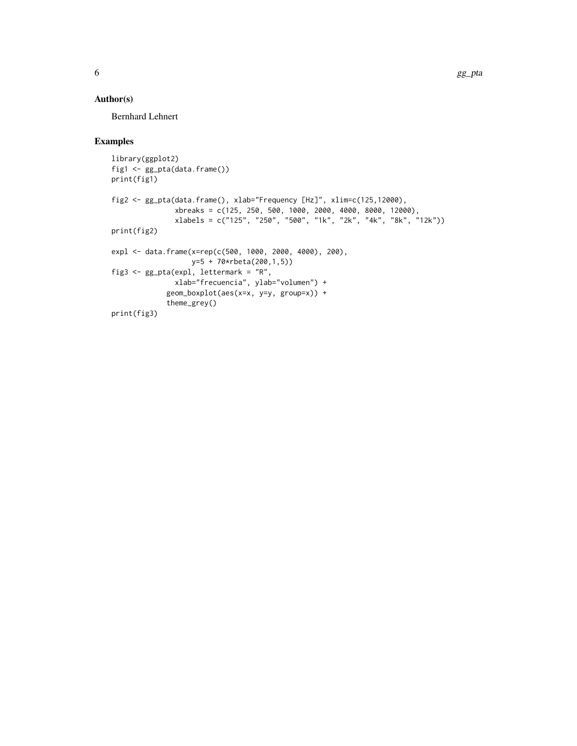#### Author(s)

Bernhard Lehnert

#### Examples

```
library(ggplot2)
fig1 <- gg_pta(data.frame())
print(fig1)
fig2 <- gg_pta(data.frame(), xlab="Frequency [Hz]", xlim=c(125,12000),
               xbreaks = c(125, 250, 500, 1000, 2000, 4000, 8000, 12000),
               xlabels = c("125", "250", "500", "1k", "2k", "4k", "8k", "12k"))
print(fig2)
expl <- data.frame(x=rep(c(500, 1000, 2000, 4000), 200),
                  y=5 + 70*rbeta(200,1,5))
fig3 <- gg_pta(expl, lettermark = "R",
               xlab="frecuencia", ylab="volumen") +
             geom_boxplot(aes(x=x, y=y, group=x)) +
             theme_grey()
print(fig3)
```